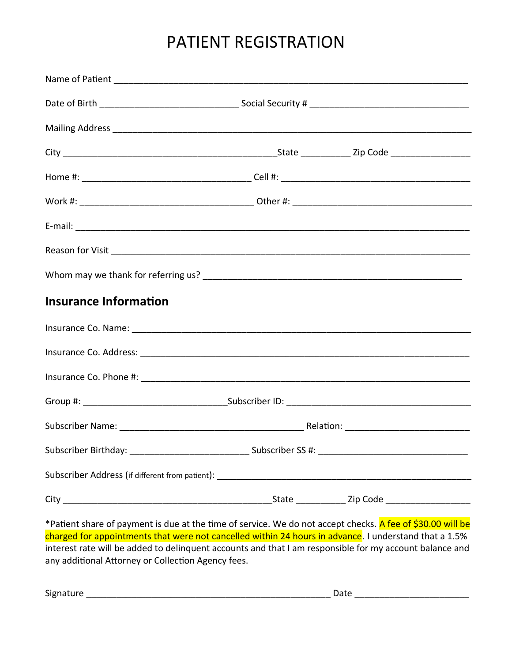# PATIENT REGISTRATION

| Mailing Address <b>Manual Address</b> 2014 and 2015 and 2017 and 2018 and 2019 and 2019 and 2019 and 2019 and 2019 and 2019 and 2019 and 2019 and 2019 and 2019 and 2019 and 2019 and 2019 and 2019 and 2019 and 2019 and 2019 and |  |
|------------------------------------------------------------------------------------------------------------------------------------------------------------------------------------------------------------------------------------|--|
|                                                                                                                                                                                                                                    |  |
|                                                                                                                                                                                                                                    |  |
|                                                                                                                                                                                                                                    |  |
|                                                                                                                                                                                                                                    |  |
|                                                                                                                                                                                                                                    |  |
|                                                                                                                                                                                                                                    |  |
| <b>Insurance Information</b>                                                                                                                                                                                                       |  |
|                                                                                                                                                                                                                                    |  |
|                                                                                                                                                                                                                                    |  |
|                                                                                                                                                                                                                                    |  |
|                                                                                                                                                                                                                                    |  |
|                                                                                                                                                                                                                                    |  |
|                                                                                                                                                                                                                                    |  |
|                                                                                                                                                                                                                                    |  |
|                                                                                                                                                                                                                                    |  |

\*Patient share of payment is due at the time of service. We do not accept checks. A fee of \$30.00 will be charged for appointments that were not cancelled within 24 hours in advance. I understand that a 1.5% interest rate will be added to delinquent accounts and that I am responsible for my account balance and any additional Attorney or Collection Agency fees.

Signature \_\_\_\_\_\_\_\_\_\_\_\_\_\_\_\_\_\_\_\_\_\_\_\_\_\_\_\_\_\_\_\_\_\_\_\_\_\_\_\_\_\_\_\_\_\_\_\_\_ Date \_\_\_\_\_\_\_\_\_\_\_\_\_\_\_\_\_\_\_\_\_\_\_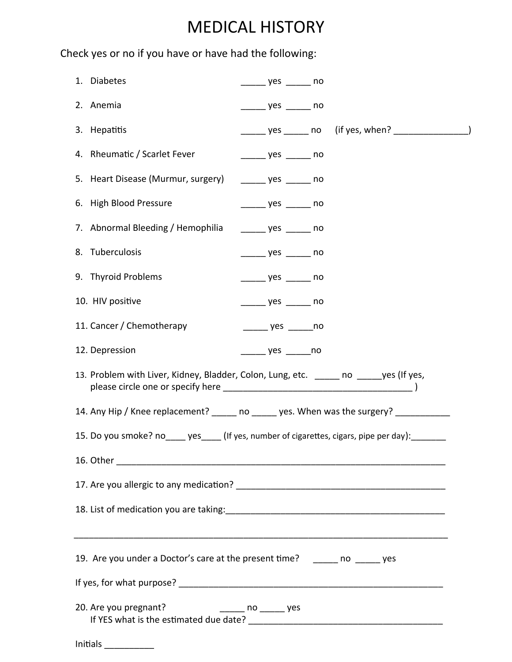## MEDICAL HISTORY

Check yes or no if you have or have had the following:

| 1. Diabetes                                                                           | _______ yes _______ no             |                                                          |  |
|---------------------------------------------------------------------------------------|------------------------------------|----------------------------------------------------------|--|
| 2. Anemia                                                                             | $\frac{1}{2}$ yes $\frac{1}{2}$ no |                                                          |  |
| 3. Hepatitis                                                                          |                                    | ______ yes ______ no (if yes, when? ___________________) |  |
| 4. Rheumatic / Scarlet Fever                                                          | $\frac{1}{2}$ yes $\frac{1}{2}$ no |                                                          |  |
| 5. Heart Disease (Murmur, surgery)                                                    | $\frac{1}{2}$ yes $\frac{1}{2}$ no |                                                          |  |
| 6. High Blood Pressure                                                                | $\frac{1}{2}$ yes $\frac{1}{2}$ no |                                                          |  |
| 7. Abnormal Bleeding / Hemophilia                                                     | $\frac{1}{2}$ yes $\frac{1}{2}$ no |                                                          |  |
| 8. Tuberculosis                                                                       | $\frac{1}{2}$ yes $\frac{1}{2}$ no |                                                          |  |
| 9. Thyroid Problems                                                                   | $\frac{1}{2}$ yes $\frac{1}{2}$ no |                                                          |  |
| 10. HIV positive                                                                      | $\frac{1}{2}$ yes $\frac{1}{2}$ no |                                                          |  |
| 11. Cancer / Chemotherapy                                                             |                                    |                                                          |  |
| 12. Depression                                                                        | _______ yes _______no              |                                                          |  |
| 13. Problem with Liver, Kidney, Bladder, Colon, Lung, etc. _____ no _____yes (If yes, |                                    |                                                          |  |
| 14. Any Hip / Knee replacement? ho bes. When was the surgery?                         |                                    |                                                          |  |
| 15. Do you smoke? no yes (If yes, number of cigarettes, cigars, pipe per day):        |                                    |                                                          |  |
|                                                                                       |                                    |                                                          |  |
|                                                                                       |                                    |                                                          |  |
|                                                                                       |                                    |                                                          |  |
| 19. Are you under a Doctor's care at the present time? ______ no _____ yes            |                                    |                                                          |  |
|                                                                                       |                                    |                                                          |  |
| 20. Are you pregnant?                                                                 |                                    |                                                          |  |
|                                                                                       |                                    |                                                          |  |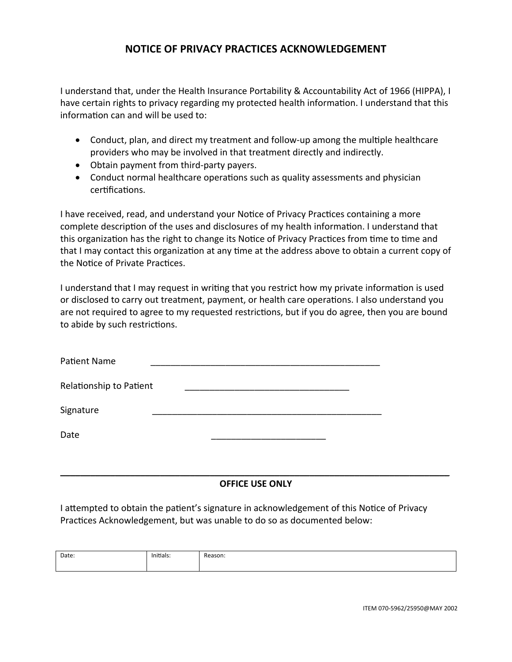### **NOTICE OF PRIVACY PRACTICES ACKNOWLEDGEMENT**

I understand that, under the Health Insurance Portability & Accountability Act of 1966 (HIPPA), I have certain rights to privacy regarding my protected health information. I understand that this information can and will be used to:

- Conduct, plan, and direct my treatment and follow-up among the multiple healthcare providers who may be involved in that treatment directly and indirectly.
- Obtain payment from third-party payers.
- Conduct normal healthcare operations such as quality assessments and physician certifications.

I have received, read, and understand your Notice of Privacy Practices containing a more complete description of the uses and disclosures of my health information. I understand that this organization has the right to change its Notice of Privacy Practices from time to time and that I may contact this organization at any time at the address above to obtain a current copy of the Notice of Private Practices.

I understand that I may request in writing that you restrict how my private information is used or disclosed to carry out treatment, payment, or health care operations. I also understand you are not required to agree to my requested restrictions, but if you do agree, then you are bound to abide by such restrictions.

| Patient Name            |  |
|-------------------------|--|
| Relationship to Patient |  |
| Signature               |  |
| Date                    |  |
|                         |  |

### **OFFICE USE ONLY**

I attempted to obtain the patient's signature in acknowledgement of this Notice of Privacy Practices Acknowledgement, but was unable to do so as documented below:

| Date: | .<br>Initials:<br>$\sim$ $\sim$ | Reason: |
|-------|---------------------------------|---------|
|       |                                 |         |